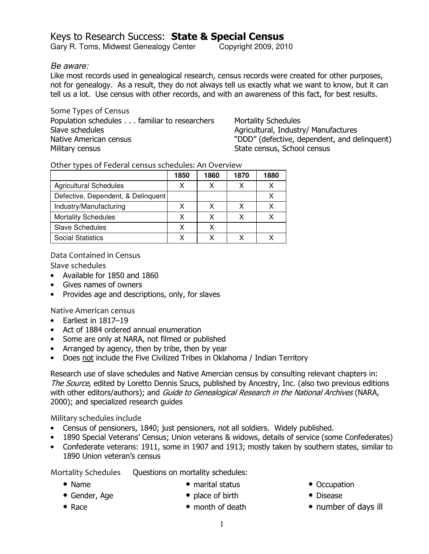# Keys to Research Success: State & Special Census

Gary R. Toms, Midwest Genealogy Center Copyright 2009, 2010

### Be aware:

Like most records used in genealogical research, census records were created for other purposes, not for genealogy. As a result, they do not always tell us exactly what we want to know, but it can tell us a lot. Use census with other records, and with an awareness of this fact, for best results.

Some Types of Census Population schedules . . . familiar to researchers Slave schedules Native American census Military census

Mortality Schedules Agricultural, Industry/ Manufactures "DDD" (defective, dependent, and delinquent) State census, School census

Other types of Federal census schedules: An Overview

|                                    | 1850 | 1860 | 1870 | 1880 |
|------------------------------------|------|------|------|------|
| <b>Agricultural Schedules</b>      | v    |      | x    |      |
| Defective, Dependent, & Delinquent |      |      |      |      |
| Industry/Manufacturing             | x    | x    |      |      |
| <b>Mortality Schedules</b>         | x    |      |      |      |
| Slave Schedules                    | x    |      |      |      |
| <b>Social Statistics</b>           |      |      |      |      |

Data Contained in Census

Slave schedules

- Available for 1850 and 1860
- Gives names of owners
- Provides age and descriptions, only, for slaves

Native American census

- Earliest in 1817–19
- Act of 1884 ordered annual enumeration
- Some are only at NARA, not filmed or published
- Arranged by agency, then by tribe, then by year
- Does not include the Five Civilized Tribes in Oklahoma / Indian Territory

Research use of slave schedules and Native Amercian census by consulting relevant chapters in: The Source, edited by Loretto Dennis Szucs, published by Ancestry, Inc. (also two previous editions with other editors/authors); and Guide to Genealogical Research in the National Archives (NARA, 2000); and specialized research guides

Military schedules include

- Census of pensioners, 1840; just pensioners, not all soldiers. Widely published.
- 1890 Special Veterans' Census; Union veterans & widows, details of service (some Confederates)
- Confederate veterans: 1911, some in 1907 and 1913; mostly taken by southern states, similar to 1890 Union veteran's census

Mortality Schedules Questions on mortality schedules:

• Name

• Race

- marital status
- Gender, Age
- place of birth • month of death
- Occupation
- Disease
- number of days ill

1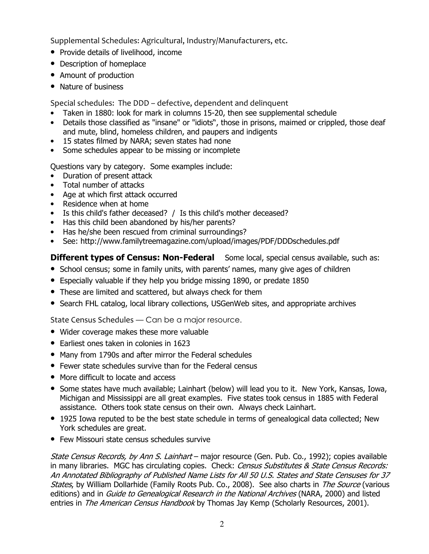Supplemental Schedules: Agricultural, Industry/Manufacturers, etc.

- Provide details of livelihood, income
- Description of homeplace
- Amount of production
- Nature of business

Special schedules: The DDD – defective, dependent and delinquent

- Taken in 1880: look for mark in columns 15-20, then see supplemental schedule
- Details those classified as "insane" or "idiots", those in prisons, maimed or crippled, those deaf and mute, blind, homeless children, and paupers and indigents
- 15 states filmed by NARA; seven states had none
- Some schedules appear to be missing or incomplete

Questions vary by category. Some examples include:

- Duration of present attack
- Total number of attacks
- Age at which first attack occurred
- Residence when at home
- Is this child's father deceased? / Is this child's mother deceased?
- Has this child been abandoned by his/her parents?
- Has he/she been rescued from criminal surroundings?
- See: http://www.familytreemagazine.com/upload/images/PDF/DDDschedules.pdf

## **Different types of Census: Non-Federal** Some local, special census available, such as:

- School census; some in family units, with parents' names, many give ages of children
- Especially valuable if they help you bridge missing 1890, or predate 1850
- These are limited and scattered, but always check for them
- Search FHL catalog, local library collections, USGenWeb sites, and appropriate archives

State Census Schedules — Can be a major resource.

- Wider coverage makes these more valuable
- Earliest ones taken in colonies in 1623
- Many from 1790s and after mirror the Federal schedules
- Fewer state schedules survive than for the Federal census
- More difficult to locate and access
- Some states have much available; Lainhart (below) will lead you to it. New York, Kansas, Iowa, Michigan and Mississippi are all great examples. Five states took census in 1885 with Federal assistance. Others took state census on their own. Always check Lainhart.
- 1925 Iowa reputed to be the best state schedule in terms of genealogical data collected; New York schedules are great.
- Few Missouri state census schedules survive

State Census Records, by Ann S. Lainhart – major resource (Gen. Pub. Co., 1992); copies available in many libraries. MGC has circulating copies. Check: Census Substitutes & State Census Records: An Annotated Bibliography of Published Name Lists for All 50 U.S. States and State Censuses for 37 States, by William Dollarhide (Family Roots Pub. Co., 2008). See also charts in The Source (various editions) and in *Guide to Genealogical Research in the National Archives* (NARA, 2000) and listed entries in The American Census Handbook by Thomas Jay Kemp (Scholarly Resources, 2001).